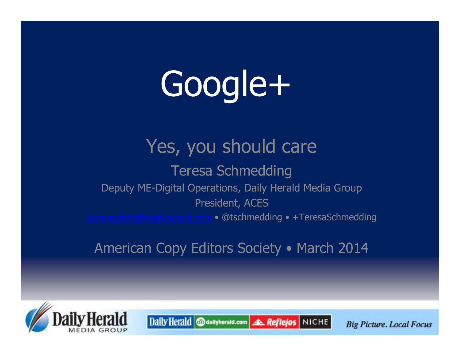# Google+

### Yes, you should care

### Teresa Schmedding Deputy ME-Digital Operations, Daily Herald Media GroupPresident, ACEStschmedding@dailyherald.com • @tschmedding • +TeresaSchmedding

### American Copy Editors Society • March 2014



Daily Herald @dailyherald.com **AL Reflejos** NICHE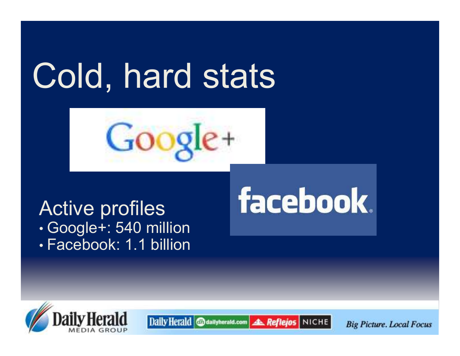## Cold, hard stats



Daily Herald @dailyherald.com

#### Active profiles• (¬NNNIA+' 54U M Google+: 540 million• FACADOOK' 1 1 DIIIO Facebook: 1.1 billion

## facebook.

**AL Reflejos** NICHE

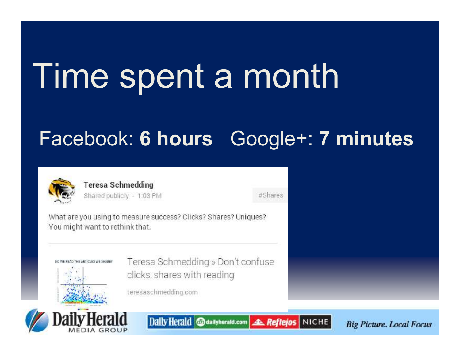## Time spent a month

### Facebook: 6 hours Google+: 7 minutes



**Teresa Schmedding** Shared publicly - 1:03 PM

#Shares

What are you using to measure success? Clicks? Shares? Uniques? You might want to rethink that.

> Teresa Schmedding » Don't confuse clicks, shares with reading

teresaschmedding.com



DO WE READ THE ARTICLES WE SHARE?

Daily Herald @dailyherald.com **AL Reflejos** NICHE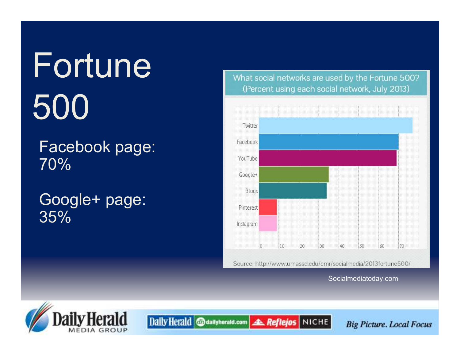# Fortune500

### Facebook page:70%

### Google+ page:35%

What social networks are used by the Fortune 500? (Percent using each social network, July 2013)



Socialmediatoday.com



Daily Herald @dailyherald.com **A. Reflejos** NICHE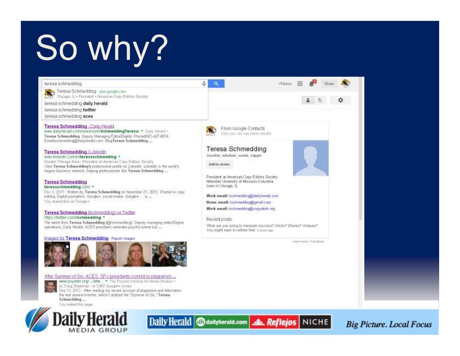## So why?

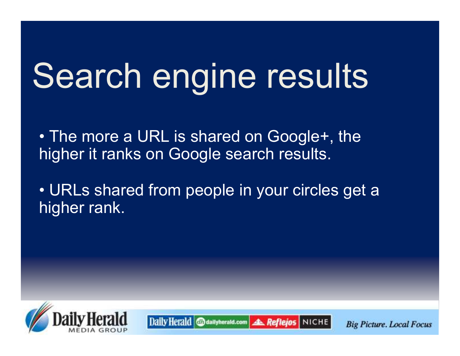## Search engine results

• The more a URL is shared on Google+, the<br>bigher it ranks on Google search results higher it ranks on Google search results.

• URLs shared from people in your circles get a<br>bigher rank higher rank.

Daily Herald @dailyherald.com

**A. Reflejos | NICHE** 

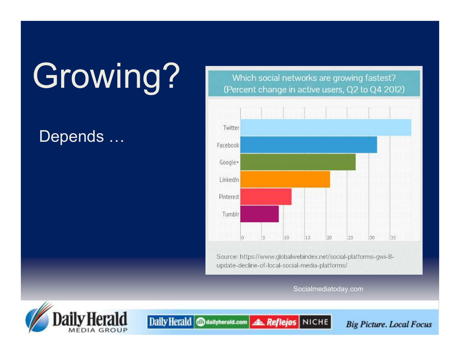# Growing?

### Depends ...

Which social networks are growing fastest? (Percent change in active users, Q2 to Q4 2012)



Source: https://www.globalwebindex.net/social-platforms-gwi-8update-decline-of-local-social-media-platforms/

Socialmediatoday.com



Daily Herald @dailyherald.com **A Reflejos** NICHE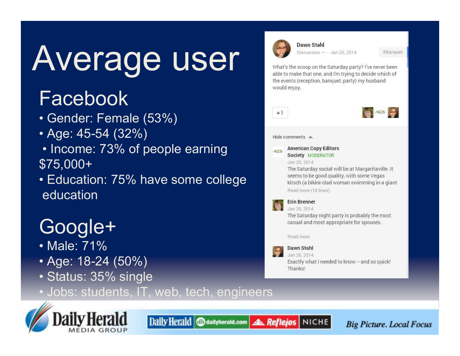# Average user

### Facebook

- Gender: Female (53%)
- Age: 45-54 (32%)
- Income: 73% of people earning \$75,000+
- Education: 75% have some college education

### Google+

- Male: 71%
- Age: 18-24 (50%)
- Status: 35% single





seems to be good quality, with some Vegas kitsch (a bikini-clad woman swimming in a giant Read more (18 lines)

#### **Erin Brenner**

**AGES** 

Jan 20, 2014 The Saturday night party is probably the most casual and most appropriate for spouses.

Read more

#### Dawn Stahl

Jan 20, 2014 Exactly what I needed to know - and so quick! Thanks!

Daily Herald @dailyherald.com **A Reflejos** NICHE

**Big Picture. Local Focus** 

#Banquet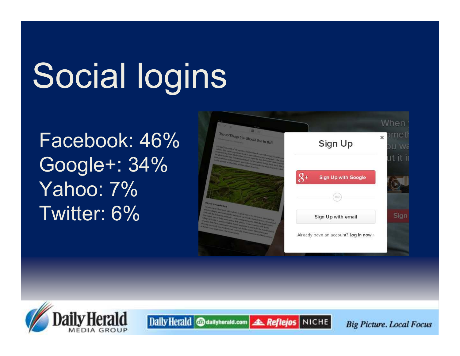# Social logins

Daily Herald @dailyherald.com

Facebook: 46%Google+: 34%Yahoo: 7%Twitter: 6%



**A. Reflejos** NICHE

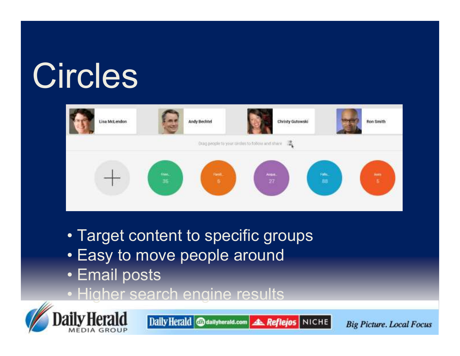## Circles



- Target content to specific groups<br>. Fasy to may a nasale around
- Easy to move people around<br>. Erecil poots
- Email posts
- Higher search engine results



Daily Herald @dailyherald.com **A. Reflejos** NICHE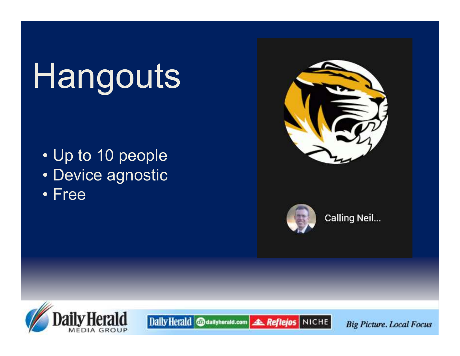## Hangouts

- Up to 10 people
- Device agnostic<br>· Free
- Free





**AL Reflejos** NICHE

Daily Herald @dailyherald.com

**Calling Neil...** 

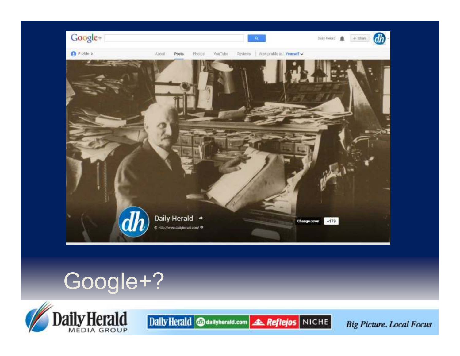

### Google+?



Daily Herald @dailyherald.com 4 Reflejos NICHE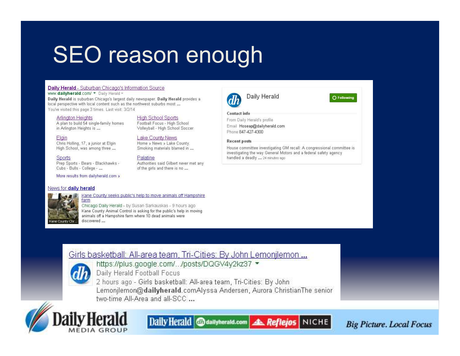### **SEO reason enough**

#### Daily Herald - Suburban Chicago's Information Source

www.dailyherald.com/ • Daily Herald -

Daily Herald is suburban Chicago's largest daily newspaper. Daily Herald provides a local perspective with local content such as the northwest suburbs most ... You've visited this page 3 times. Last visit: 3/2/14

#### **Arlington Heights**

A plan to build 54 single-family homes in Arlington Heights is ...

#### Elgin

Chris Holling, 17, a junior at Elgin High School, was among three ...

Sports

Prep Sports - Bears - Blackhawks -Cubs - Bulls - College - ...

More results from dailyherald.com »

#### News for daily herald

#### **High School Sports** Football Focus - High School

Volleyball - High School Soccer

#### Lake County News

Home » News » Lake County. Smoking materials blamed in ...

#### Palatine

Authorities said Gilbert never met any of the girls and there is no ...

#### Daily Herald **Contact info** From Daily Herald's profile

Email Hoseap@dailyherald.com Phone 847-427-4300

#### **Recent posts**

House committee investigating GM recall: A congressional committee is investigating the way General Motors and a federal safety agency handled a deadly ... 24 minutes ago

O Following

### e County Chr

#### Kane County seeks public's help to move animals off Hampshire farm

Chicago Daily Herald - by Susan Sarkauskas - 9 hours ago Kane County Animal Control is asking for the public's help in moving

animals off a Hampshire farm where 10 dead animals were discovered ...

#### Girls basketball: All-area team, Tri-Cities: By John Lemonilemon ...



https://plus.google.com/.../posts/DQGV4y2kz37 -Daily Herald Football Focus

2 hours ago - Girls basketball: All-area team, Tri-Cities: By John Lemonilemon@dailyherald.comAlyssa Andersen, Aurora ChristianThe senior two-time All-Area and all-SCC ...



Daily Herald @dailyherald.com **A Reflejos** NICHE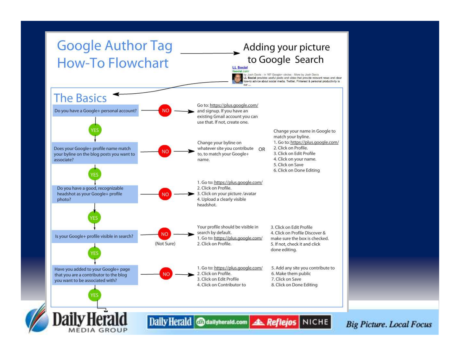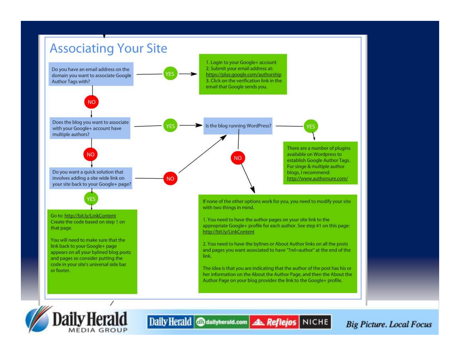

**MEDIA GROUP**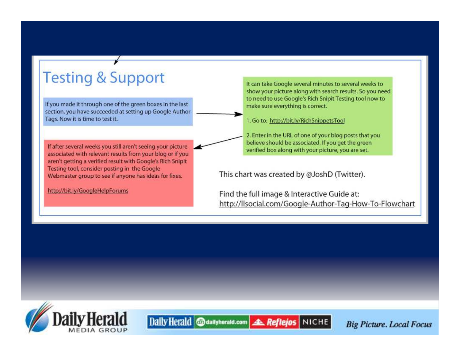### **Testing & Support**

If you made it through one of the green boxes in the last section, you have succeeded at setting up Google Author Tags. Now it is time to test it.

If after several weeks you still aren't seeing your picture associated with relevant results from your blog or if you aren't getting a verified result with Google's Rich Snipit Testing tool, consider posting in the Google Webmaster group to see if anyone has ideas for fixes.

Daily Herald @dailyherald.com

http://bit.ly/GoogleHelpForums

It can take Google several minutes to several weeks to show your picture along with search results. So you need to need to use Google's Rich Snipit Testing tool now to make sure everything is correct.

1. Go to: http://bit.ly/RichSnippetsTool

2. Enter in the URL of one of your blog posts that you believe should be associated. If you get the green verified box along with your picture, you are set.

This chart was created by @JoshD (Twitter).

**A. Reflejos NICHE** 

Find the full image & Interactive Guide at: http://llsocial.com/Google-Author-Tag-How-To-Flowchart